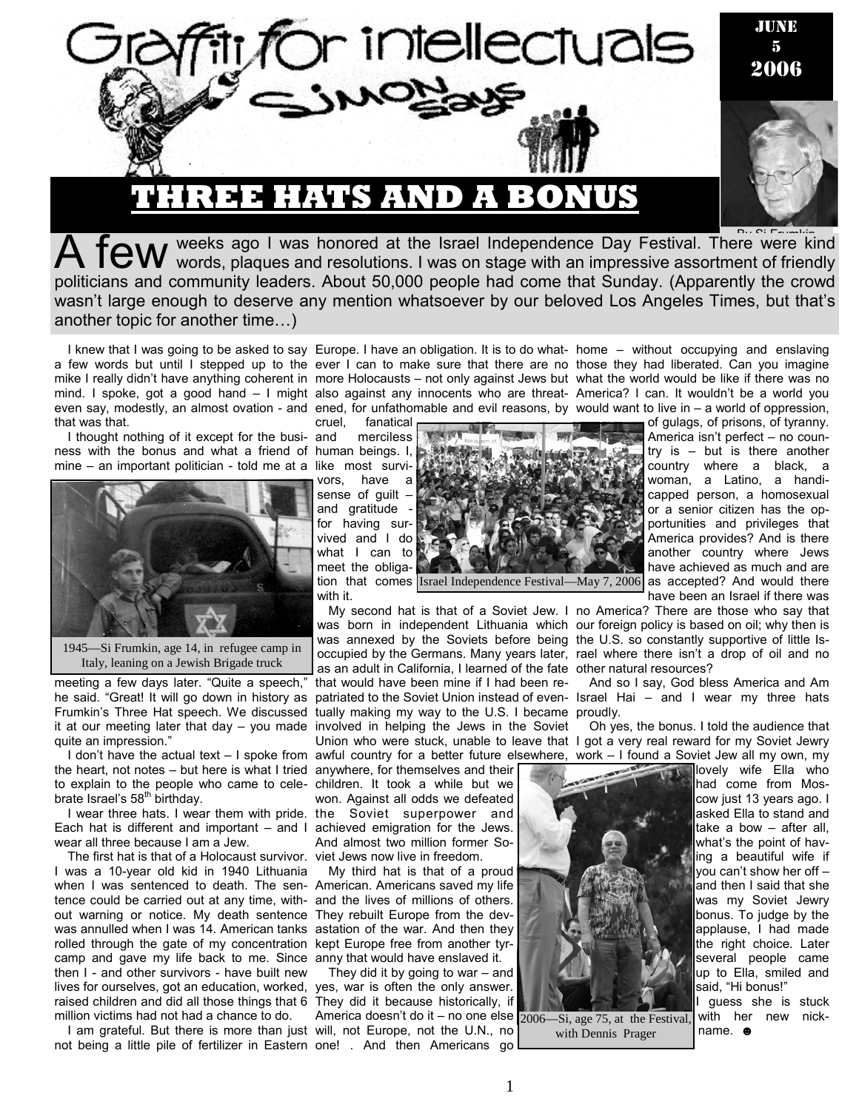

A few weeks ago I was honored at the Israel Independence Day Festival. There were kind<br>A few words, plaques and resolutions. I was on stage with an impressive assortment of friendly politicians and community leaders. About 50,000 people had come that Sunday. (Apparently the crowd wasn't large enough to deserve any mention whatsoever by our beloved Los Angeles Times, but that's another topic for another time…)

that was that.

I thought nothing of it except for the busi- and ness with the bonus and what a friend of human beings. I, mine – an important politician - told me at a like most survi-



1945—Si Frumkin, age 14, in refugee camp in Italy, leaning on a Jewish Brigade truck

meeting a few days later. "Quite a speech," he said. "Great! It will go down in history as it at our meeting later that day – you made involved in helping the Jews in the Soviet quite an impression."

I don't have the actual text – I spoke from the heart, not notes – but here is what I tried anywhere, for themselves and their to explain to the people who came to celebrate Israel's  $58<sup>th</sup>$  birthday.

I wear three hats. I wear them with pride. the Soviet superpower and Each hat is different and important – and I wear all three because I am a Jew.

The first hat is that of a Holocaust survivor. viet Jews now live in freedom. I was a 10-year old kid in 1940 Lithuania when I was sentenced to death. The sen- American. Americans saved my life tence could be carried out at any time, with-and the lives of millions of others. out warning or notice. My death sentence was annulled when I was 14. American tanks astation of the war. And then they rolled through the gate of my concentration kept Europe free from another tyrcamp and gave my life back to me. Since anny that would have enslaved it. then I - and other survivors - have built new lives for ourselves, got an education, worked, yes, war is often the only answer. raised children and did all those things that 6 They did it because historically, if million victims had not had a chance to do.

I am grateful. But there is more than just will, not Europe, not the U.N., no not being a little pile of fertilizer in Eastern one! . And then Americans go

I knew that I was going to be asked to say Europe. I have an obligation. It is to do what- home  $-$  without occupying and enslaving

cruel, fanatical merciless

vors, have a sense of guilt – and gratitude for having survived and I do what I can to meet the obligation that comes Israel Independence Festival—May 7, 2006 with it.

that would have been mine if I had been re-

children. It took a while but we won. Against all odds we defeated achieved emigration for the Jews. And almost two million former So-

My third hat is that of a proud They rebuilt Europe from the dev-

They did it by going to war – and

America doesn't do it – no one else 2006—Si, age 75, at the Festival,

a few words but until I stepped up to the ever I can to make sure that there are no those they had liberated. Can you imagine mike I really didn't have anything coherent in more Holocausts – not only against Jews but what the world would be like if there was no mind. I spoke, got a good hand  $-1$  might also against any innocents who are threat- America? I can. It wouldn't be a world you even say, modestly, an almost ovation - and ened, for unfathomable and evil reasons, by would want to live in – a world of oppression, of gulags, of prisons, of tyranny.

America isn't perfect – no country is – but is there another country where a black, a woman, a Latino, a handicapped person, a homosexual or a senior citizen has the opportunities and privileges that America provides? And is there another country where Jews have achieved as much and are as accepted? And would there have been an Israel if there was

Frumkin's Three Hat speech. We discussed tually making my way to the U.S. I became proudly. My second hat is that of a Soviet Jew. I no America? There are those who say that was born in independent Lithuania which our foreign policy is based on oil; why then is was annexed by the Soviets before being the U.S. so constantly supportive of little Isoccupied by the Germans. Many years later, rael where there isn't a drop of oil and no as an adult in California, I learned of the fate other natural resources?

patriated to the Soviet Union instead of even-Israel Hai – and I wear my three hats Oh yes, the bonus. I told the audience that

Union who were stuck, unable to leave that I got a very real reward for my Soviet Jewry awful country for a better future elsewhere, work – I found a Soviet Jew all my own, my

lovely wife Ella who had come from Moscow just 13 years ago. I asked Ella to stand and take a bow – after all, what's the point of having a beautiful wife if you can't show her off – and then I said that she was my Soviet Jewry bonus. To judge by the applause, I had made the right choice. Later several people came up to Ella, smiled and said, "Hi bonus!"

I guess she is stuck with her new nickname. ☻



with Dennis Prager

1

And so I say, God bless America and Am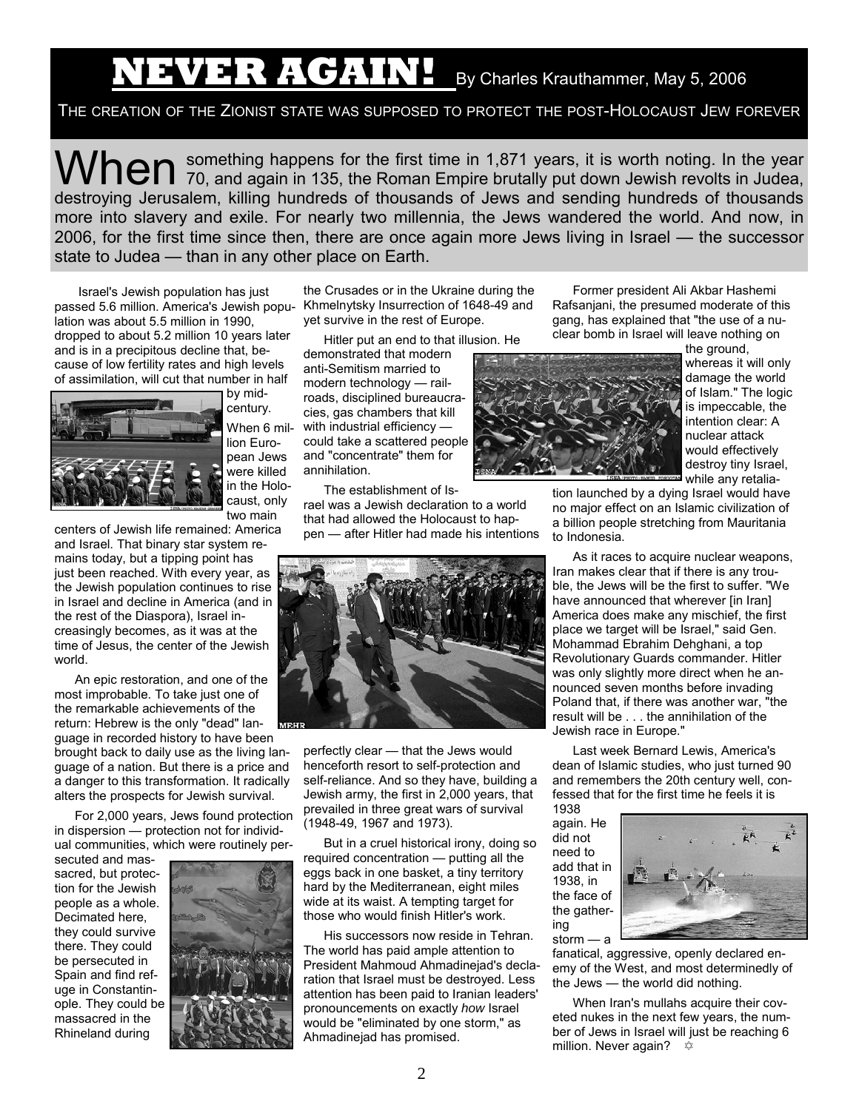## **IEVER AGAIN!** By Charles Krauthammer, May 5, 2006

THE CREATION OF THE ZIONIST STATE WAS SUPPOSED TO PROTECT THE POST-HOLOCAUST JEW FOREVER

When  $\mathsf{M}$  something happens for the first time in 1,871 years, it is worth noting. In the year  $\mathsf{M}$  70, and again in 135, the Roman Empire brutally put down Jewish revolts in Judea, destroying Jerusalem, killing hundreds of thousands of Jews and sending hundreds of thousands more into slavery and exile. For nearly two millennia, the Jews wandered the world. And now, in 2006, for the first time since then, there are once again more Jews living in Israel — the successor state to Judea — than in any other place on Earth.

 Israel's Jewish population has just passed 5.6 million. America's Jewish popu-Khmelnytsky Insurrection of 1648-49 and lation was about 5.5 million in 1990, dropped to about 5.2 million 10 years later and is in a precipitous decline that, because of low fertility rates and high levels of assimilation, will cut that number in half



by midcentury. When 6 million European Jews were killed in the Holocaust, only two main

centers of Jewish life remained: America and Israel. That binary star system remains today, but a tipping point has just been reached. With every year, as the Jewish population continues to rise in Israel and decline in America (and in the rest of the Diaspora), Israel increasingly becomes, as it was at the time of Jesus, the center of the Jewish world.

An epic restoration, and one of the most improbable. To take just one of the remarkable achievements of the return: Hebrew is the only "dead" language in recorded history to have been brought back to daily use as the living language of a nation. But there is a price and a danger to this transformation. It radically alters the prospects for Jewish survival.

For 2,000 years, Jews found protection in dispersion — protection not for individual communities, which were routinely per-

secuted and massacred, but protection for the Jewish people as a whole. Decimated here, they could survive there. They could be persecuted in Spain and find refuge in Constantinople. They could be massacred in the Rhineland during



the Crusades or in the Ukraine during the yet survive in the rest of Europe.

Hitler put an end to that illusion. He

demonstrated that modern anti-Semitism married to modern technology — railroads, disciplined bureaucracies, gas chambers that kill with industrial efficiency could take a scattered people and "concentrate" them for annihilation.

The establishment of Israel was a Jewish declaration to a world that had allowed the Holocaust to happen — after Hitler had made his intentions



perfectly clear — that the Jews would henceforth resort to self-protection and self-reliance. And so they have, building a Jewish army, the first in 2,000 years, that prevailed in three great wars of survival (1948-49, 1967 and 1973).

But in a cruel historical irony, doing so required concentration — putting all the eggs back in one basket, a tiny territory hard by the Mediterranean, eight miles wide at its waist. A tempting target for those who would finish Hitler's work.

His successors now reside in Tehran. The world has paid ample attention to President Mahmoud Ahmadinejad's declaration that Israel must be destroyed. Less attention has been paid to Iranian leaders' pronouncements on exactly *how* Israel would be "eliminated by one storm," as Ahmadinejad has promised.

Former president Ali Akbar Hashemi Rafsanjani, the presumed moderate of this gang, has explained that "the use of a nuclear bomb in Israel will leave nothing on



the ground, whereas it will only damage the world of Islam." The logic is impeccable, the intention clear: A nuclear attack would effectively destroy tiny Israel, while any retalia-

tion launched by a dying Israel would have no major effect on an Islamic civilization of a billion people stretching from Mauritania to Indonesia.

As it races to acquire nuclear weapons, Iran makes clear that if there is any trouble, the Jews will be the first to suffer. "We have announced that wherever [in Iran] America does make any mischief, the first place we target will be Israel," said Gen. Mohammad Ebrahim Dehghani, a top Revolutionary Guards commander. Hitler was only slightly more direct when he announced seven months before invading Poland that, if there was another war, "the result will be . . . the annihilation of the Jewish race in Europe."

Last week Bernard Lewis, America's dean of Islamic studies, who just turned 90 and remembers the 20th century well, confessed that for the first time he feels it is 1938

again. He did not need to add that in 1938, in the face of the gathering storm — a



fanatical, aggressive, openly declared enemy of the West, and most determinedly of the Jews — the world did nothing.

When Iran's mullahs acquire their coveted nukes in the next few years, the number of Jews in Israel will just be reaching 6 million. Never again?  $\Rightarrow$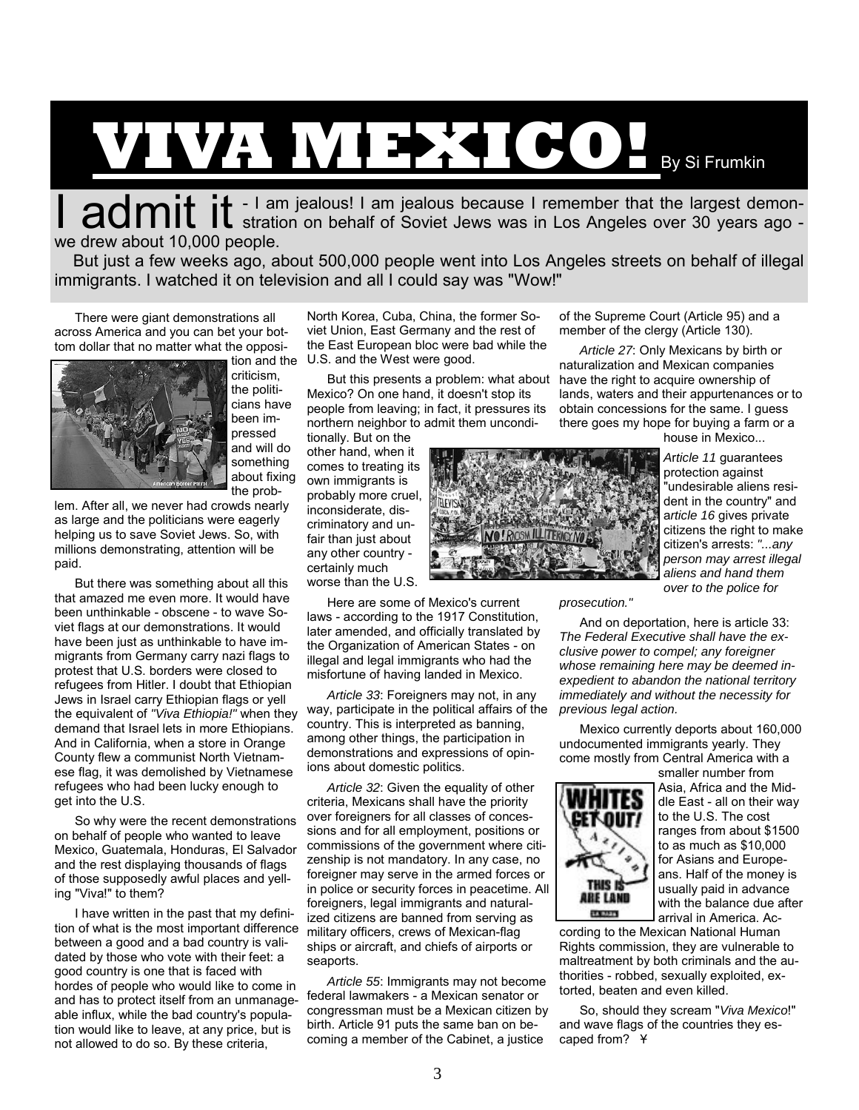

I admit it - I am jealous! I am jealous because I remember that the largest demon-<br>I admit it stration on behalf of Soviet Jews was in Los Angeles over 30 years ago we drew about 10,000 people.

 But just a few weeks ago, about 500,000 people went into Los Angeles streets on behalf of illegal immigrants. I watched it on television and all I could say was "Wow!"

There were giant demonstrations all across America and you can bet your bottom dollar that no matter what the opposi-



tion and the criticism, the politicians have been impressed and will do something about fixing the prob-

lem. After all, we never had crowds nearly as large and the politicians were eagerly helping us to save Soviet Jews. So, with millions demonstrating, attention will be paid.

But there was something about all this that amazed me even more. It would have been unthinkable - obscene - to wave Soviet flags at our demonstrations. It would have been just as unthinkable to have immigrants from Germany carry nazi flags to protest that U.S. borders were closed to refugees from Hitler. I doubt that Ethiopian Jews in Israel carry Ethiopian flags or yell the equivalent of *"Viva Ethiopia!"* when they demand that Israel lets in more Ethiopians. And in California, when a store in Orange County flew a communist North Vietnamese flag, it was demolished by Vietnamese refugees who had been lucky enough to get into the U.S.

So why were the recent demonstrations on behalf of people who wanted to leave Mexico, Guatemala, Honduras, El Salvador and the rest displaying thousands of flags of those supposedly awful places and yelling "Viva!" to them?

I have written in the past that my definition of what is the most important difference between a good and a bad country is validated by those who vote with their feet: a good country is one that is faced with hordes of people who would like to come in and has to protect itself from an unmanageable influx, while the bad country's population would like to leave, at any price, but is not allowed to do so. By these criteria,

North Korea, Cuba, China, the former Soviet Union, East Germany and the rest of the East European bloc were bad while the U.S. and the West were good.

But this presents a problem: what about Mexico? On one hand, it doesn't stop its people from leaving; in fact, it pressures its northern neighbor to admit them uncondi-

tionally. But on the other hand, when it comes to treating its own immigrants is probably more cruel, inconsiderate, discriminatory and unfair than just about any other country certainly much worse than the U.S.

Here are some of Mexico's current laws - according to the 1917 Constitution, later amended, and officially translated by the Organization of American States - on illegal and legal immigrants who had the misfortune of having landed in Mexico.

*Article 33*: Foreigners may not, in any way, participate in the political affairs of the country. This is interpreted as banning, among other things, the participation in demonstrations and expressions of opinions about domestic politics.

*Article 32*: Given the equality of other criteria, Mexicans shall have the priority over foreigners for all classes of concessions and for all employment, positions or commissions of the government where citizenship is not mandatory. In any case, no foreigner may serve in the armed forces or in police or security forces in peacetime. All foreigners, legal immigrants and naturalized citizens are banned from serving as military officers, crews of Mexican-flag ships or aircraft, and chiefs of airports or seaports.

*Article 55*: Immigrants may not become federal lawmakers - a Mexican senator or congressman must be a Mexican citizen by birth. Article 91 puts the same ban on becoming a member of the Cabinet, a justice

of the Supreme Court (Article 95) and a member of the clergy (Article 130).

*Article 27*: Only Mexicans by birth or naturalization and Mexican companies have the right to acquire ownership of lands, waters and their appurtenances or to obtain concessions for the same. I guess there goes my hope for buying a farm or a

house in Mexico...

*A*r*ticle 11* guarantees protection against "undesirable aliens resident in the country" and a*rticle 16* gives private citizens the right to make citizen's arrests: *"...any person may arrest illegal aliens and hand them over to the police for* 

*prosecution."* 

And on deportation, here is article 33: *The Federal Executive shall have the exclusive power to compel; any foreigner whose remaining here may be deemed inexpedient to abandon the national territory immediately and without the necessity for previous legal action.* 

Mexico currently deports about 160,000 undocumented immigrants yearly. They come mostly from Central America with a



smaller number from Asia, Africa and the Middle East - all on their way to the U.S. The cost ranges from about \$1500 to as much as \$10,000 for Asians and Europeans. Half of the money is usually paid in advance with the balance due after arrival in America. Ac-

cording to the Mexican National Human Rights commission, they are vulnerable to maltreatment by both criminals and the authorities - robbed, sexually exploited, extorted, beaten and even killed.

So, should they scream "*Viva Mexico*!" and wave flags of the countries they escaped from? Ұ